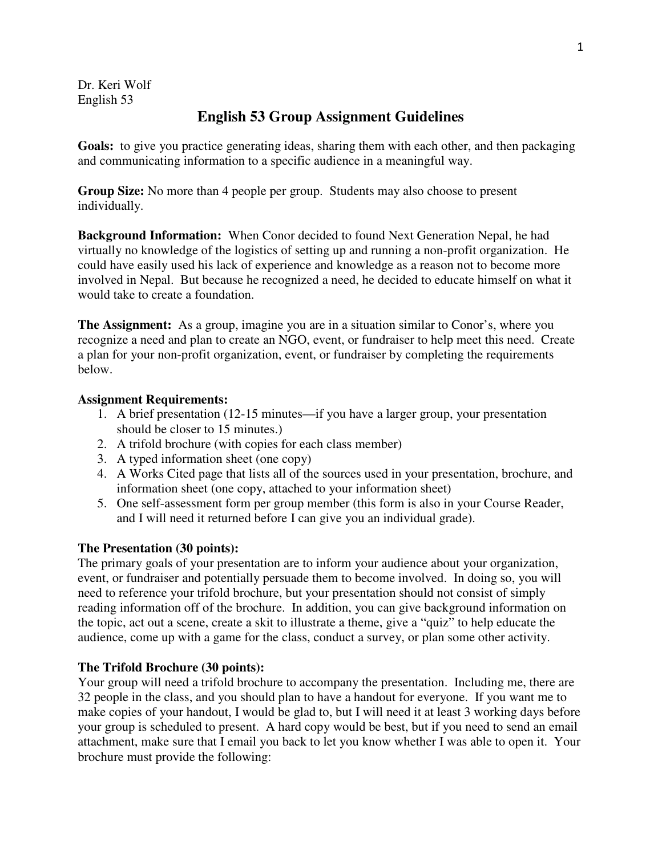Dr. Keri Wolf English 53

# **English 53 Group Assignment Guidelines**

**Goals:** to give you practice generating ideas, sharing them with each other, and then packaging and communicating information to a specific audience in a meaningful way.

**Group Size:** No more than 4 people per group. Students may also choose to present individually.

**Background Information:** When Conor decided to found Next Generation Nepal, he had virtually no knowledge of the logistics of setting up and running a non-profit organization. He could have easily used his lack of experience and knowledge as a reason not to become more involved in Nepal. But because he recognized a need, he decided to educate himself on what it would take to create a foundation.

**The Assignment:** As a group, imagine you are in a situation similar to Conor's, where you recognize a need and plan to create an NGO, event, or fundraiser to help meet this need. Create a plan for your non-profit organization, event, or fundraiser by completing the requirements below.

## **Assignment Requirements:**

- 1. A brief presentation (12-15 minutes—if you have a larger group, your presentation should be closer to 15 minutes.)
- 2. A trifold brochure (with copies for each class member)
- 3. A typed information sheet (one copy)
- 4. A Works Cited page that lists all of the sources used in your presentation, brochure, and information sheet (one copy, attached to your information sheet)
- 5. One self-assessment form per group member (this form is also in your Course Reader, and I will need it returned before I can give you an individual grade).

## **The Presentation (30 points):**

The primary goals of your presentation are to inform your audience about your organization, event, or fundraiser and potentially persuade them to become involved. In doing so, you will need to reference your trifold brochure, but your presentation should not consist of simply reading information off of the brochure. In addition, you can give background information on the topic, act out a scene, create a skit to illustrate a theme, give a "quiz" to help educate the audience, come up with a game for the class, conduct a survey, or plan some other activity.

## **The Trifold Brochure (30 points):**

Your group will need a trifold brochure to accompany the presentation. Including me, there are 32 people in the class, and you should plan to have a handout for everyone. If you want me to make copies of your handout, I would be glad to, but I will need it at least 3 working days before your group is scheduled to present. A hard copy would be best, but if you need to send an email attachment, make sure that I email you back to let you know whether I was able to open it. Your brochure must provide the following: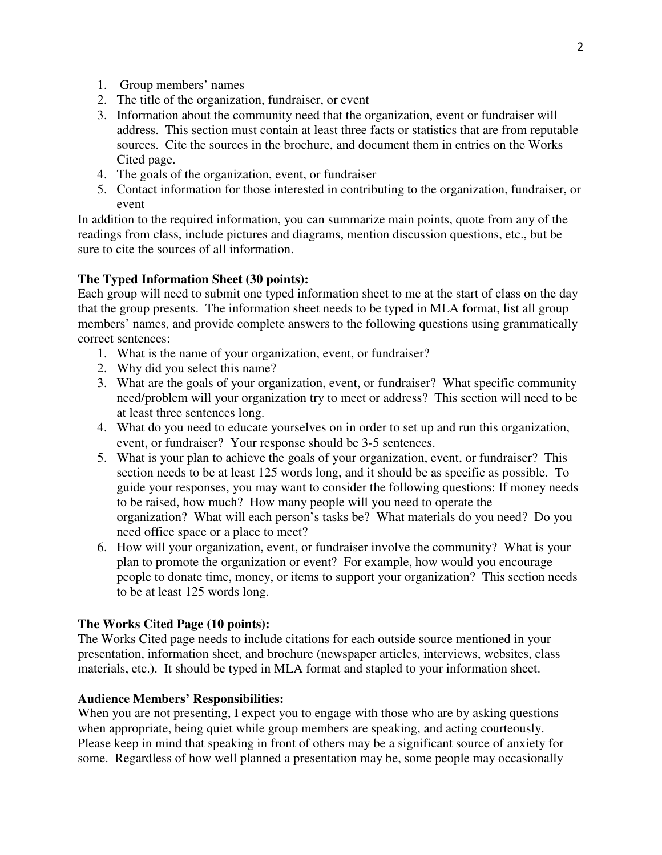- 1. Group members' names
- 2. The title of the organization, fundraiser, or event
- 3. Information about the community need that the organization, event or fundraiser will address. This section must contain at least three facts or statistics that are from reputable sources. Cite the sources in the brochure, and document them in entries on the Works Cited page.
- 4. The goals of the organization, event, or fundraiser
- 5. Contact information for those interested in contributing to the organization, fundraiser, or event

In addition to the required information, you can summarize main points, quote from any of the readings from class, include pictures and diagrams, mention discussion questions, etc., but be sure to cite the sources of all information.

## **The Typed Information Sheet (30 points):**

Each group will need to submit one typed information sheet to me at the start of class on the day that the group presents. The information sheet needs to be typed in MLA format, list all group members' names, and provide complete answers to the following questions using grammatically correct sentences:

- 1. What is the name of your organization, event, or fundraiser?
- 2. Why did you select this name?
- 3. What are the goals of your organization, event, or fundraiser? What specific community need/problem will your organization try to meet or address? This section will need to be at least three sentences long.
- 4. What do you need to educate yourselves on in order to set up and run this organization, event, or fundraiser? Your response should be 3-5 sentences.
- 5. What is your plan to achieve the goals of your organization, event, or fundraiser? This section needs to be at least 125 words long, and it should be as specific as possible. To guide your responses, you may want to consider the following questions: If money needs to be raised, how much? How many people will you need to operate the organization? What will each person's tasks be? What materials do you need? Do you need office space or a place to meet?
- 6. How will your organization, event, or fundraiser involve the community? What is your plan to promote the organization or event? For example, how would you encourage people to donate time, money, or items to support your organization? This section needs to be at least 125 words long.

## **The Works Cited Page (10 points):**

The Works Cited page needs to include citations for each outside source mentioned in your presentation, information sheet, and brochure (newspaper articles, interviews, websites, class materials, etc.). It should be typed in MLA format and stapled to your information sheet.

## **Audience Members' Responsibilities:**

When you are not presenting, I expect you to engage with those who are by asking questions when appropriate, being quiet while group members are speaking, and acting courteously. Please keep in mind that speaking in front of others may be a significant source of anxiety for some. Regardless of how well planned a presentation may be, some people may occasionally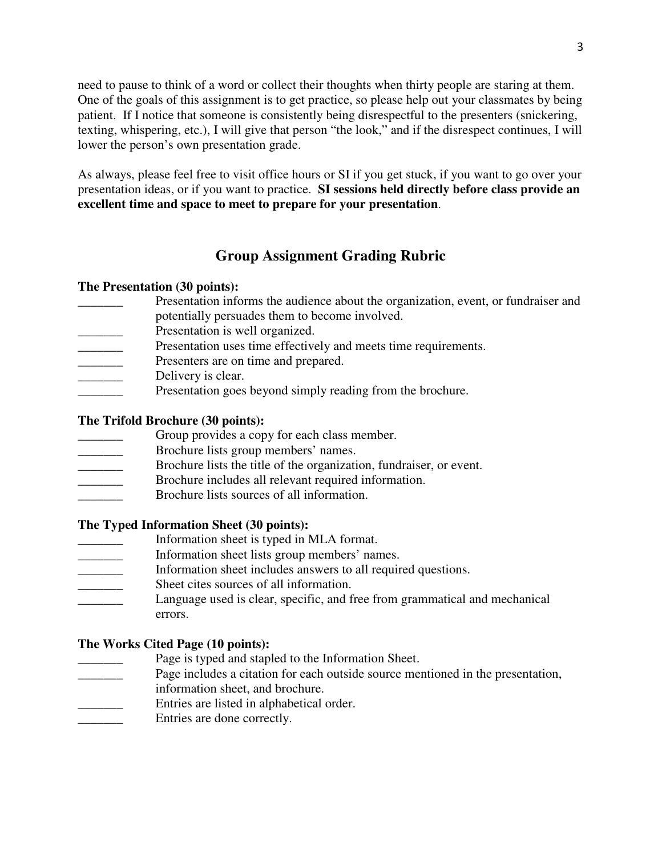need to pause to think of a word or collect their thoughts when thirty people are staring at them. One of the goals of this assignment is to get practice, so please help out your classmates by being patient. If I notice that someone is consistently being disrespectful to the presenters (snickering, texting, whispering, etc.), I will give that person "the look," and if the disrespect continues, I will lower the person's own presentation grade.

As always, please feel free to visit office hours or SI if you get stuck, if you want to go over your presentation ideas, or if you want to practice. **SI sessions held directly before class provide an excellent time and space to meet to prepare for your presentation**.

## **Group Assignment Grading Rubric**

### **The Presentation (30 points):**

- Presentation informs the audience about the organization, event, or fundraiser and potentially persuades them to become involved.
- Presentation is well organized.
- Presentation uses time effectively and meets time requirements.
- Presenters are on time and prepared.
- Delivery is clear.
- Presentation goes beyond simply reading from the brochure.

## **The Trifold Brochure (30 points):**

- Group provides a copy for each class member.
- \_\_\_\_\_\_\_ Brochure lists group members' names.
- \_\_\_\_\_\_\_ Brochure lists the title of the organization, fundraiser, or event.
- Brochure includes all relevant required information.
- \_\_\_\_\_\_\_ Brochure lists sources of all information.

### **The Typed Information Sheet (30 points):**

- \_\_\_\_\_\_\_ Information sheet is typed in MLA format.
- \_\_\_\_\_\_\_ Information sheet lists group members' names.
- Information sheet includes answers to all required questions.
- Sheet cites sources of all information.
- Language used is clear, specific, and free from grammatical and mechanical errors.

### **The Works Cited Page (10 points):**

- Page is typed and stapled to the Information Sheet.
- Page includes a citation for each outside source mentioned in the presentation,
- information sheet, and brochure.
- Entries are listed in alphabetical order.
- Entries are done correctly.